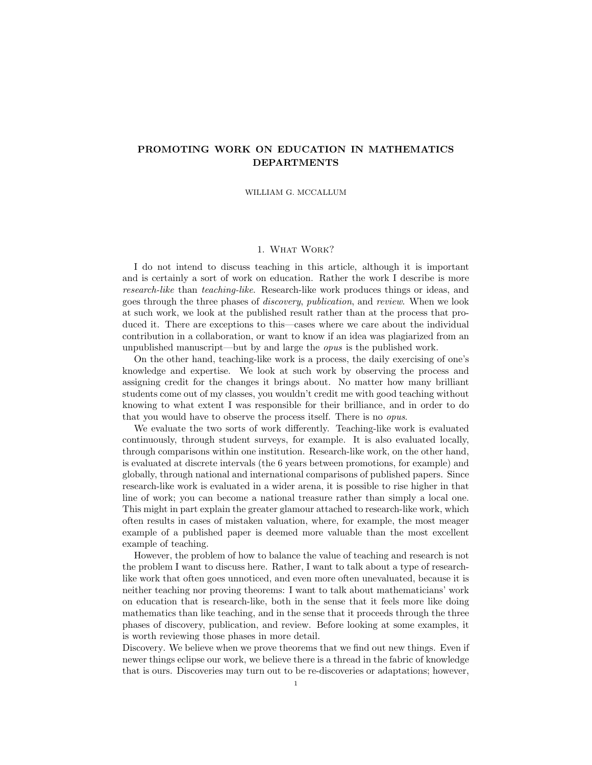# PROMOTING WORK ON EDUCATION IN MATHEMATICS DEPARTMENTS

WILLIAM G. MCCALLUM

# 1. What Work?

I do not intend to discuss teaching in this article, although it is important and is certainly a sort of work on education. Rather the work I describe is more research-like than teaching-like. Research-like work produces things or ideas, and goes through the three phases of discovery, publication, and review. When we look at such work, we look at the published result rather than at the process that produced it. There are exceptions to this—cases where we care about the individual contribution in a collaboration, or want to know if an idea was plagiarized from an unpublished manuscript—but by and large the opus is the published work.

On the other hand, teaching-like work is a process, the daily exercising of one's knowledge and expertise. We look at such work by observing the process and assigning credit for the changes it brings about. No matter how many brilliant students come out of my classes, you wouldn't credit me with good teaching without knowing to what extent I was responsible for their brilliance, and in order to do that you would have to observe the process itself. There is no opus.

We evaluate the two sorts of work differently. Teaching-like work is evaluated continuously, through student surveys, for example. It is also evaluated locally, through comparisons within one institution. Research-like work, on the other hand, is evaluated at discrete intervals (the 6 years between promotions, for example) and globally, through national and international comparisons of published papers. Since research-like work is evaluated in a wider arena, it is possible to rise higher in that line of work; you can become a national treasure rather than simply a local one. This might in part explain the greater glamour attached to research-like work, which often results in cases of mistaken valuation, where, for example, the most meager example of a published paper is deemed more valuable than the most excellent example of teaching.

However, the problem of how to balance the value of teaching and research is not the problem I want to discuss here. Rather, I want to talk about a type of researchlike work that often goes unnoticed, and even more often unevaluated, because it is neither teaching nor proving theorems: I want to talk about mathematicians' work on education that is research-like, both in the sense that it feels more like doing mathematics than like teaching, and in the sense that it proceeds through the three phases of discovery, publication, and review. Before looking at some examples, it is worth reviewing those phases in more detail.

Discovery. We believe when we prove theorems that we find out new things. Even if newer things eclipse our work, we believe there is a thread in the fabric of knowledge that is ours. Discoveries may turn out to be re-discoveries or adaptations; however,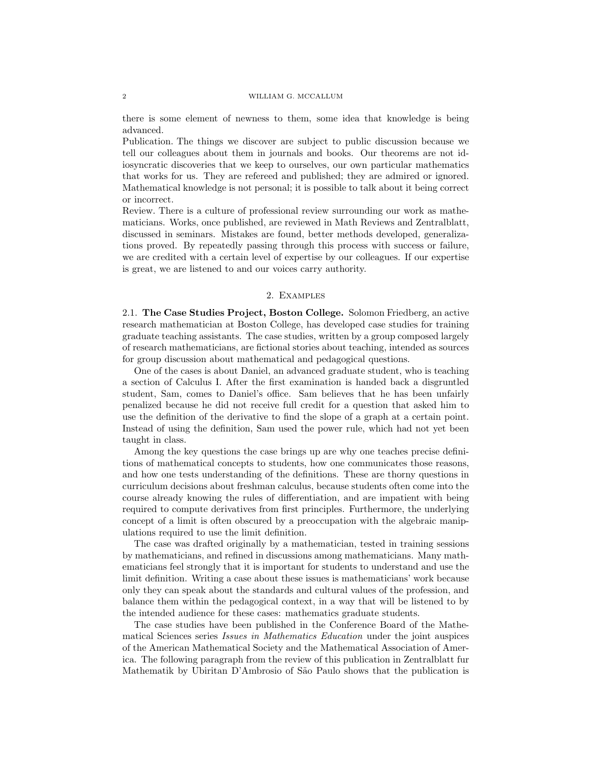there is some element of newness to them, some idea that knowledge is being advanced.

Publication. The things we discover are subject to public discussion because we tell our colleagues about them in journals and books. Our theorems are not idiosyncratic discoveries that we keep to ourselves, our own particular mathematics that works for us. They are refereed and published; they are admired or ignored. Mathematical knowledge is not personal; it is possible to talk about it being correct or incorrect.

Review. There is a culture of professional review surrounding our work as mathematicians. Works, once published, are reviewed in Math Reviews and Zentralblatt, discussed in seminars. Mistakes are found, better methods developed, generalizations proved. By repeatedly passing through this process with success or failure, we are credited with a certain level of expertise by our colleagues. If our expertise is great, we are listened to and our voices carry authority.

# 2. Examples

2.1. The Case Studies Project, Boston College. Solomon Friedberg, an active research mathematician at Boston College, has developed case studies for training graduate teaching assistants. The case studies, written by a group composed largely of research mathematicians, are fictional stories about teaching, intended as sources for group discussion about mathematical and pedagogical questions.

One of the cases is about Daniel, an advanced graduate student, who is teaching a section of Calculus I. After the first examination is handed back a disgruntled student, Sam, comes to Daniel's office. Sam believes that he has been unfairly penalized because he did not receive full credit for a question that asked him to use the definition of the derivative to find the slope of a graph at a certain point. Instead of using the definition, Sam used the power rule, which had not yet been taught in class.

Among the key questions the case brings up are why one teaches precise definitions of mathematical concepts to students, how one communicates those reasons, and how one tests understanding of the definitions. These are thorny questions in curriculum decisions about freshman calculus, because students often come into the course already knowing the rules of differentiation, and are impatient with being required to compute derivatives from first principles. Furthermore, the underlying concept of a limit is often obscured by a preoccupation with the algebraic manipulations required to use the limit definition.

The case was drafted originally by a mathematician, tested in training sessions by mathematicians, and refined in discussions among mathematicians. Many mathematicians feel strongly that it is important for students to understand and use the limit definition. Writing a case about these issues is mathematicians' work because only they can speak about the standards and cultural values of the profession, and balance them within the pedagogical context, in a way that will be listened to by the intended audience for these cases: mathematics graduate students.

The case studies have been published in the Conference Board of the Mathematical Sciences series Issues in Mathematics Education under the joint auspices of the American Mathematical Society and the Mathematical Association of America. The following paragraph from the review of this publication in Zentralblatt fur Mathematik by Ubiritan D'Ambrosio of São Paulo shows that the publication is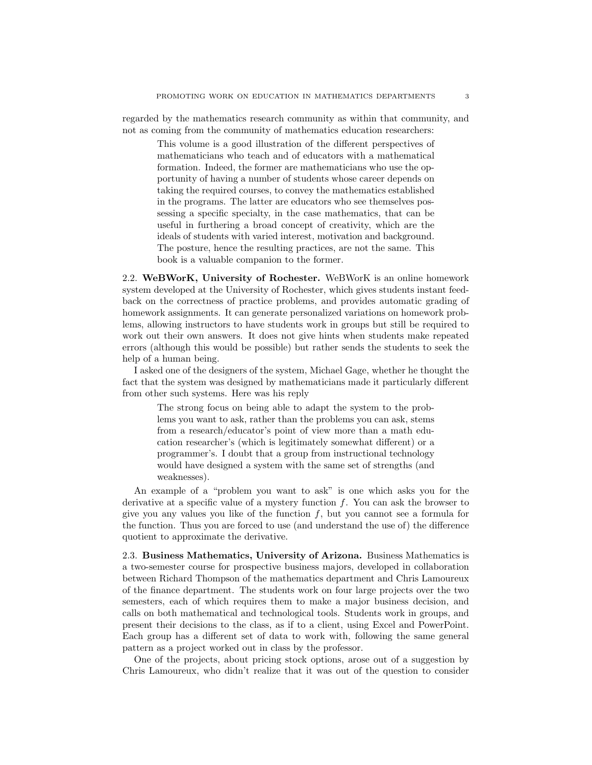regarded by the mathematics research community as within that community, and not as coming from the community of mathematics education researchers:

This volume is a good illustration of the different perspectives of mathematicians who teach and of educators with a mathematical formation. Indeed, the former are mathematicians who use the opportunity of having a number of students whose career depends on taking the required courses, to convey the mathematics established in the programs. The latter are educators who see themselves possessing a specific specialty, in the case mathematics, that can be useful in furthering a broad concept of creativity, which are the ideals of students with varied interest, motivation and background. The posture, hence the resulting practices, are not the same. This book is a valuable companion to the former.

2.2. WeBWorK, University of Rochester. WeBWorK is an online homework system developed at the University of Rochester, which gives students instant feedback on the correctness of practice problems, and provides automatic grading of homework assignments. It can generate personalized variations on homework problems, allowing instructors to have students work in groups but still be required to work out their own answers. It does not give hints when students make repeated errors (although this would be possible) but rather sends the students to seek the help of a human being.

I asked one of the designers of the system, Michael Gage, whether he thought the fact that the system was designed by mathematicians made it particularly different from other such systems. Here was his reply

The strong focus on being able to adapt the system to the problems you want to ask, rather than the problems you can ask, stems from a research/educator's point of view more than a math education researcher's (which is legitimately somewhat different) or a programmer's. I doubt that a group from instructional technology would have designed a system with the same set of strengths (and weaknesses).

An example of a "problem you want to ask" is one which asks you for the derivative at a specific value of a mystery function  $f$ . You can ask the browser to give you any values you like of the function  $f$ , but you cannot see a formula for the function. Thus you are forced to use (and understand the use of) the difference quotient to approximate the derivative.

2.3. Business Mathematics, University of Arizona. Business Mathematics is a two-semester course for prospective business majors, developed in collaboration between Richard Thompson of the mathematics department and Chris Lamoureux of the finance department. The students work on four large projects over the two semesters, each of which requires them to make a major business decision, and calls on both mathematical and technological tools. Students work in groups, and present their decisions to the class, as if to a client, using Excel and PowerPoint. Each group has a different set of data to work with, following the same general pattern as a project worked out in class by the professor.

One of the projects, about pricing stock options, arose out of a suggestion by Chris Lamoureux, who didn't realize that it was out of the question to consider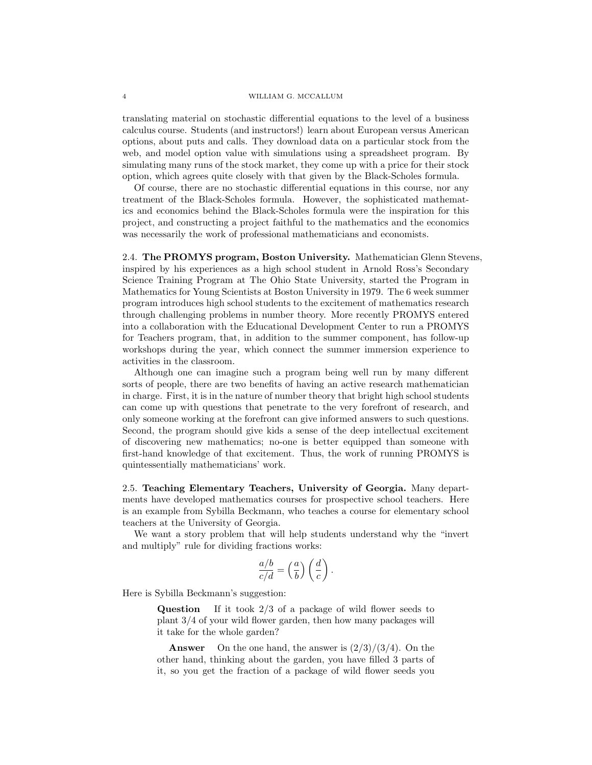translating material on stochastic differential equations to the level of a business calculus course. Students (and instructors!) learn about European versus American options, about puts and calls. They download data on a particular stock from the web, and model option value with simulations using a spreadsheet program. By simulating many runs of the stock market, they come up with a price for their stock option, which agrees quite closely with that given by the Black-Scholes formula.

Of course, there are no stochastic differential equations in this course, nor any treatment of the Black-Scholes formula. However, the sophisticated mathematics and economics behind the Black-Scholes formula were the inspiration for this project, and constructing a project faithful to the mathematics and the economics was necessarily the work of professional mathematicians and economists.

2.4. The PROMYS program, Boston University. Mathematician Glenn Stevens, inspired by his experiences as a high school student in Arnold Ross's Secondary Science Training Program at The Ohio State University, started the Program in Mathematics for Young Scientists at Boston University in 1979. The 6 week summer program introduces high school students to the excitement of mathematics research through challenging problems in number theory. More recently PROMYS entered into a collaboration with the Educational Development Center to run a PROMYS for Teachers program, that, in addition to the summer component, has follow-up workshops during the year, which connect the summer immersion experience to activities in the classroom.

Although one can imagine such a program being well run by many different sorts of people, there are two benefits of having an active research mathematician in charge. First, it is in the nature of number theory that bright high school students can come up with questions that penetrate to the very forefront of research, and only someone working at the forefront can give informed answers to such questions. Second, the program should give kids a sense of the deep intellectual excitement of discovering new mathematics; no-one is better equipped than someone with first-hand knowledge of that excitement. Thus, the work of running PROMYS is quintessentially mathematicians' work.

2.5. Teaching Elementary Teachers, University of Georgia. Many departments have developed mathematics courses for prospective school teachers. Here is an example from Sybilla Beckmann, who teaches a course for elementary school teachers at the University of Georgia.

We want a story problem that will help students understand why the "invert and multiply" rule for dividing fractions works:

$$
\frac{a/b}{c/d} = \left(\frac{a}{b}\right) \left(\frac{d}{c}\right).
$$

Here is Sybilla Beckmann's suggestion:

**Question** If it took  $2/3$  of a package of wild flower seeds to plant 3/4 of your wild flower garden, then how many packages will it take for the whole garden?

**Answer** On the one hand, the answer is  $\frac{2}{3}/\frac{3}{4}$ . On the other hand, thinking about the garden, you have filled 3 parts of it, so you get the fraction of a package of wild flower seeds you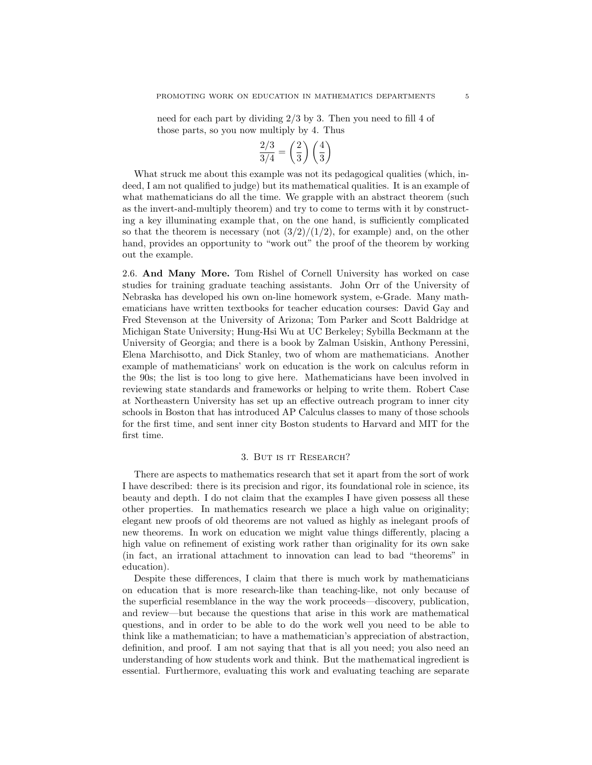need for each part by dividing 2/3 by 3. Then you need to fill 4 of those parts, so you now multiply by 4. Thus

$$
\frac{2/3}{3/4} = \left(\frac{2}{3}\right)\left(\frac{4}{3}\right)
$$

What struck me about this example was not its pedagogical qualities (which, indeed, I am not qualified to judge) but its mathematical qualities. It is an example of what mathematicians do all the time. We grapple with an abstract theorem (such as the invert-and-multiply theorem) and try to come to terms with it by constructing a key illuminating example that, on the one hand, is sufficiently complicated so that the theorem is necessary (not  $\frac{3}{2}/\frac{1}{2}$ , for example) and, on the other hand, provides an opportunity to "work out" the proof of the theorem by working out the example.

2.6. And Many More. Tom Rishel of Cornell University has worked on case studies for training graduate teaching assistants. John Orr of the University of Nebraska has developed his own on-line homework system, e-Grade. Many mathematicians have written textbooks for teacher education courses: David Gay and Fred Stevenson at the University of Arizona; Tom Parker and Scott Baldridge at Michigan State University; Hung-Hsi Wu at UC Berkeley; Sybilla Beckmann at the University of Georgia; and there is a book by Zalman Usiskin, Anthony Peressini, Elena Marchisotto, and Dick Stanley, two of whom are mathematicians. Another example of mathematicians' work on education is the work on calculus reform in the 90s; the list is too long to give here. Mathematicians have been involved in reviewing state standards and frameworks or helping to write them. Robert Case at Northeastern University has set up an effective outreach program to inner city schools in Boston that has introduced AP Calculus classes to many of those schools for the first time, and sent inner city Boston students to Harvard and MIT for the first time.

## 3. But is it Research?

There are aspects to mathematics research that set it apart from the sort of work I have described: there is its precision and rigor, its foundational role in science, its beauty and depth. I do not claim that the examples I have given possess all these other properties. In mathematics research we place a high value on originality; elegant new proofs of old theorems are not valued as highly as inelegant proofs of new theorems. In work on education we might value things differently, placing a high value on refinement of existing work rather than originality for its own sake (in fact, an irrational attachment to innovation can lead to bad "theorems" in education).

Despite these differences, I claim that there is much work by mathematicians on education that is more research-like than teaching-like, not only because of the superficial resemblance in the way the work proceeds—discovery, publication, and review—but because the questions that arise in this work are mathematical questions, and in order to be able to do the work well you need to be able to think like a mathematician; to have a mathematician's appreciation of abstraction, definition, and proof. I am not saying that that is all you need; you also need an understanding of how students work and think. But the mathematical ingredient is essential. Furthermore, evaluating this work and evaluating teaching are separate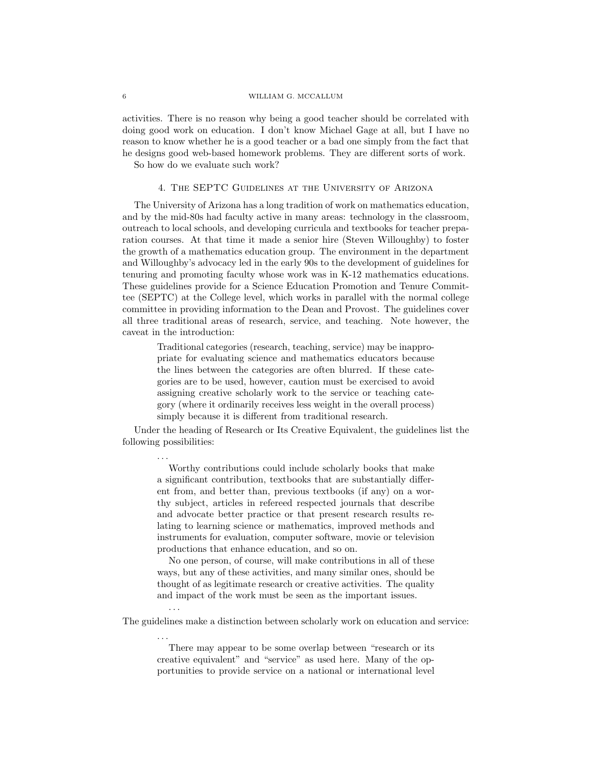activities. There is no reason why being a good teacher should be correlated with doing good work on education. I don't know Michael Gage at all, but I have no reason to know whether he is a good teacher or a bad one simply from the fact that he designs good web-based homework problems. They are different sorts of work.

So how do we evaluate such work?

. . .

. . .

. . .

## 4. The SEPTC Guidelines at the University of Arizona

The University of Arizona has a long tradition of work on mathematics education, and by the mid-80s had faculty active in many areas: technology in the classroom, outreach to local schools, and developing curricula and textbooks for teacher preparation courses. At that time it made a senior hire (Steven Willoughby) to foster the growth of a mathematics education group. The environment in the department and Willoughby's advocacy led in the early 90s to the development of guidelines for tenuring and promoting faculty whose work was in K-12 mathematics educations. These guidelines provide for a Science Education Promotion and Tenure Committee (SEPTC) at the College level, which works in parallel with the normal college committee in providing information to the Dean and Provost. The guidelines cover all three traditional areas of research, service, and teaching. Note however, the caveat in the introduction:

Traditional categories (research, teaching, service) may be inappropriate for evaluating science and mathematics educators because the lines between the categories are often blurred. If these categories are to be used, however, caution must be exercised to avoid assigning creative scholarly work to the service or teaching category (where it ordinarily receives less weight in the overall process) simply because it is different from traditional research.

Under the heading of Research or Its Creative Equivalent, the guidelines list the following possibilities:

Worthy contributions could include scholarly books that make a significant contribution, textbooks that are substantially different from, and better than, previous textbooks (if any) on a worthy subject, articles in refereed respected journals that describe and advocate better practice or that present research results relating to learning science or mathematics, improved methods and instruments for evaluation, computer software, movie or television productions that enhance education, and so on.

No one person, of course, will make contributions in all of these ways, but any of these activities, and many similar ones, should be thought of as legitimate research or creative activities. The quality and impact of the work must be seen as the important issues.

The guidelines make a distinction between scholarly work on education and service:

There may appear to be some overlap between "research or its creative equivalent" and "service" as used here. Many of the opportunities to provide service on a national or international level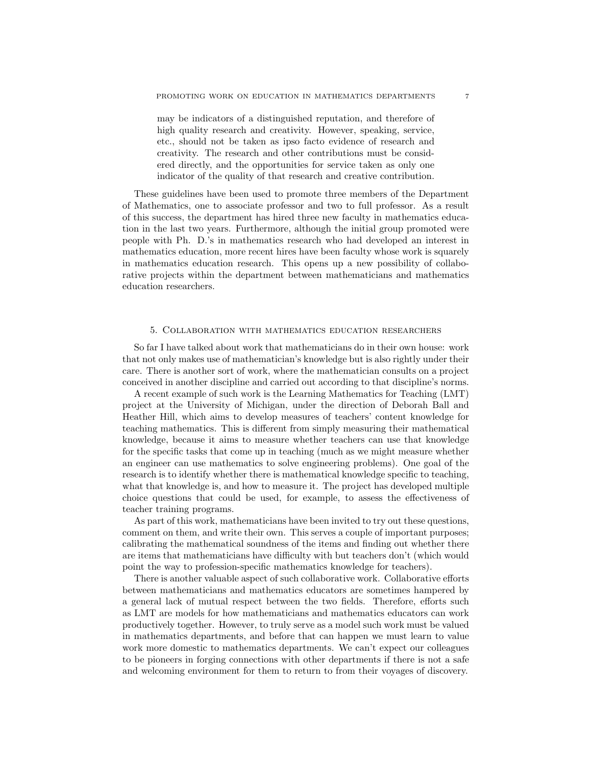may be indicators of a distinguished reputation, and therefore of high quality research and creativity. However, speaking, service, etc., should not be taken as ipso facto evidence of research and creativity. The research and other contributions must be considered directly, and the opportunities for service taken as only one indicator of the quality of that research and creative contribution.

These guidelines have been used to promote three members of the Department of Mathematics, one to associate professor and two to full professor. As a result of this success, the department has hired three new faculty in mathematics education in the last two years. Furthermore, although the initial group promoted were people with Ph. D.'s in mathematics research who had developed an interest in mathematics education, more recent hires have been faculty whose work is squarely in mathematics education research. This opens up a new possibility of collaborative projects within the department between mathematicians and mathematics education researchers.

### 5. Collaboration with mathematics education researchers

So far I have talked about work that mathematicians do in their own house: work that not only makes use of mathematician's knowledge but is also rightly under their care. There is another sort of work, where the mathematician consults on a project conceived in another discipline and carried out according to that discipline's norms.

A recent example of such work is the Learning Mathematics for Teaching (LMT) project at the University of Michigan, under the direction of Deborah Ball and Heather Hill, which aims to develop measures of teachers' content knowledge for teaching mathematics. This is different from simply measuring their mathematical knowledge, because it aims to measure whether teachers can use that knowledge for the specific tasks that come up in teaching (much as we might measure whether an engineer can use mathematics to solve engineering problems). One goal of the research is to identify whether there is mathematical knowledge specific to teaching, what that knowledge is, and how to measure it. The project has developed multiple choice questions that could be used, for example, to assess the effectiveness of teacher training programs.

As part of this work, mathematicians have been invited to try out these questions, comment on them, and write their own. This serves a couple of important purposes; calibrating the mathematical soundness of the items and finding out whether there are items that mathematicians have difficulty with but teachers don't (which would point the way to profession-specific mathematics knowledge for teachers).

There is another valuable aspect of such collaborative work. Collaborative efforts between mathematicians and mathematics educators are sometimes hampered by a general lack of mutual respect between the two fields. Therefore, efforts such as LMT are models for how mathematicians and mathematics educators can work productively together. However, to truly serve as a model such work must be valued in mathematics departments, and before that can happen we must learn to value work more domestic to mathematics departments. We can't expect our colleagues to be pioneers in forging connections with other departments if there is not a safe and welcoming environment for them to return to from their voyages of discovery.